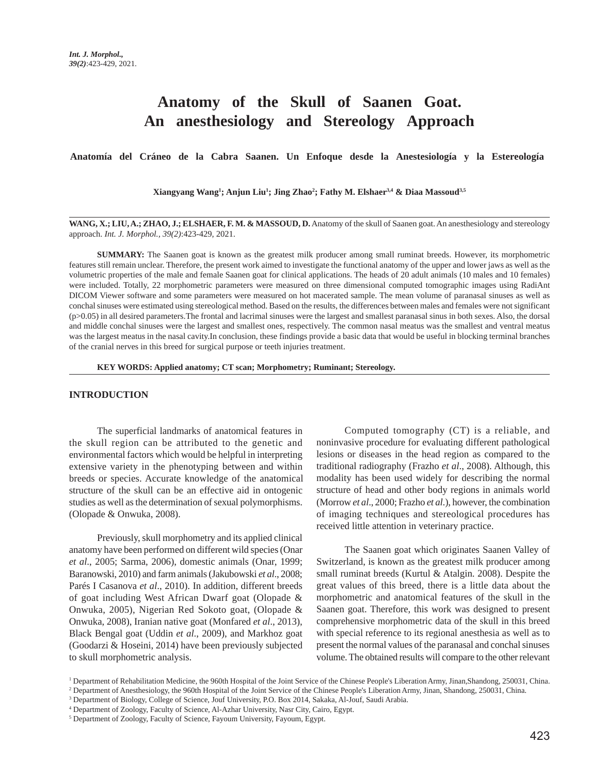# **Anatomy of the Skull of Saanen Goat. An anesthesiology and Stereology Approach**

**Anatomía del Cráneo de la Cabra Saanen. Un Enfoque desde la Anestesiología y la Estereología**

**Xiangyang Wang1 ; Anjun Liu1 ; Jing Zhao2 ; Fathy M. Elshaer3,4 & Diaa Massoud3,5**

**WANG, X.; LIU, A.; ZHAO, J.; ELSHAER, F. M. & MASSOUD, D.** Anatomy of the skull of Saanen goat. An anesthesiology and stereology approach. *Int. J. Morphol., 39(2)*:423-429, 2021.

**SUMMARY:** The Saanen goat is known as the greatest milk producer among small ruminat breeds. However, its morphometric features still remain unclear. Therefore, the present work aimed to investigate the functional anatomy of the upper and lower jaws as well as the volumetric properties of the male and female Saanen goat for clinical applications. The heads of 20 adult animals (10 males and 10 females) were included. Totally, 22 morphometric parameters were measured on three dimensional computed tomographic images using RadiAnt DICOM Viewer software and some parameters were measured on hot macerated sample. The mean volume of paranasal sinuses as well as conchal sinuses were estimated using stereological method. Based on the results, the differences between males and females were not significant  $(p>0.05)$  in all desired parameters. The frontal and lacrimal sinuses were the largest and smallest paranasal sinus in both sexes. Also, the dorsal and middle conchal sinuses were the largest and smallest ones, respectively. The common nasal meatus was the smallest and ventral meatus was the largest meatus in the nasal cavity.In conclusion, these findings provide a basic data that would be useful in blocking terminal branches of the cranial nerves in this breed for surgical purpose or teeth injuries treatment.

**KEY WORDS: Applied anatomy; CT scan; Morphometry; Ruminant; Stereology.**

### **INTRODUCTION**

The superficial landmarks of anatomical features in the skull region can be attributed to the genetic and environmental factors which would be helpful in interpreting extensive variety in the phenotyping between and within breeds or species. Accurate knowledge of the anatomical structure of the skull can be an effective aid in ontogenic studies as well as the determination of sexual polymorphisms. (Olopade & Onwuka, 2008).

Previously, skull morphometry and its applied clinical anatomy have been performed on different wild species (Onar *et al*., 2005; Sarma, 2006), domestic animals (Onar, 1999; Baranowski, 2010) and farm animals (Jakubowski *et al*., 2008; Parés I Casanova *et al*., 2010). In addition, different breeds of goat including West African Dwarf goat (Olopade & Onwuka, 2005), Nigerian Red Sokoto goat, (Olopade & Onwuka, 2008), Iranian native goat (Monfared *et al*., 2013), Black Bengal goat (Uddin *et al*., 2009), and Markhoz goat (Goodarzi & Hoseini, 2014) have been previously subjected to skull morphometric analysis.

Computed tomography (CT) is a reliable, and noninvasive procedure for evaluating different pathological lesions or diseases in the head region as compared to the traditional radiography (Frazho *et al*., 2008). Although, this modality has been used widely for describing the normal structure of head and other body regions in animals world (Morrow *et al*., 2000; Frazho *et al*.), however, the combination of imaging techniques and stereological procedures has received little attention in veterinary practice.

The Saanen goat which originates Saanen Valley of Switzerland, is known as the greatest milk producer among small ruminat breeds (Kurtul & Atalgin. 2008). Despite the great values of this breed, there is a little data about the morphometric and anatomical features of the skull in the Saanen goat. Therefore, this work was designed to present comprehensive morphometric data of the skull in this breed with special reference to its regional anesthesia as well as to present the normal values of the paranasal and conchal sinuses volume. The obtained results will compare to the other relevant

<sup>&</sup>lt;sup>1</sup> Department of Rehabilitation Medicine, the 960th Hospital of the Joint Service of the Chinese People's Liberation Army, Jinan,Shandong, 250031, China. 2 Department of Anesthesiology, the 960th Hospital of the Joint Service of the Chinese People's Liberation Army, Jinan, Shandong, 250031, China.

<sup>3</sup> Department of Biology, College of Science, Jouf University, P.O. Box 2014, Sakaka, Al-Jouf, Saudi Arabia.

<sup>4</sup> Department of Zoology, Faculty of Science, Al-Azhar University, Nasr City, Cairo, Egypt.

<sup>&</sup>lt;sup>5</sup> Department of Zoology, Faculty of Science, Fayoum University, Fayoum, Egypt.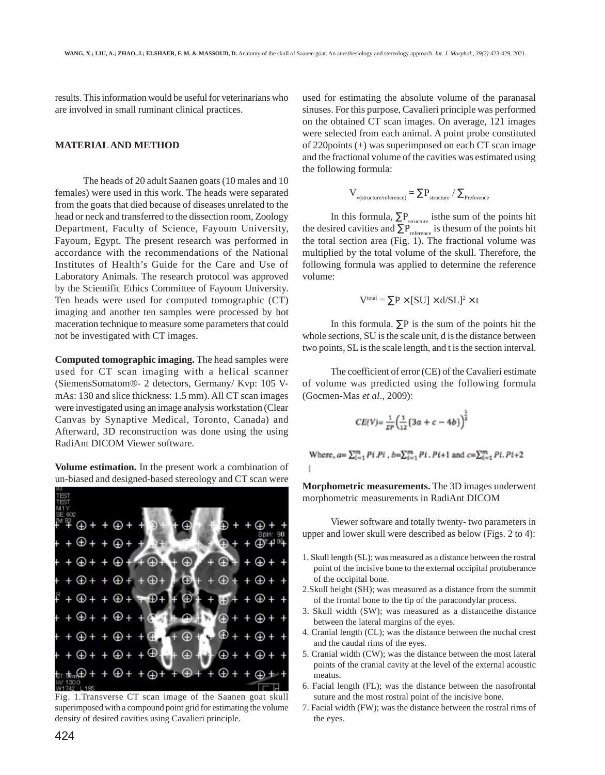results. This information would be useful for veterinarians who are involved in small ruminant clinical practices.

## **MATERIAL AND METHOD**

The heads of 20 adult Saanen goats (10 males and 10 females) were used in this work. The heads were separated from the goats that died because of diseases unrelated to the head or neck and transferred to the dissection room, Zoology Department, Faculty of Science, Fayoum University, Fayoum, Egypt. The present research was performed in accordance with the recommendations of the National Institutes of Health's Guide for the Care and Use of Laboratory Animals. The research protocol was approved by the Scientific Ethics Committee of Fayoum University. Ten heads were used for computed tomographic (CT) imaging and another ten samples were processed by hot maceration technique to measure some parameters that could not be investigated with CT images.

**Computed tomographic imaging.** The head samples were used for CT scan imaging with a helical scanner (SiemensSomatom®- 2 detectors, Germany/ Kvp: 105 VmAs: 130 and slice thickness: 1.5 mm). All CT scan images were investigated using an image analysis workstation (Clear Canvas by Synaptive Medical, Toronto, Canada) and Afterward, 3D reconstruction was done using the using RadiAnt DICOM Viewer software.

**Volume estimation.** In the present work a combination of un-biased and designed-based stereology and CT scan were



Fig. 1.Transverse CT scan image of the Saanen goat skull superimposed with a compound point grid for estimating the volume density of desired cavities using Cavalieri principle.

used for estimating the absolute volume of the paranasal sinuses. For this purpose, Cavalieri principle was performed on the obtained CT scan images. On average, 121 images were selected from each animal. A point probe constituted of 220points (+) was superimposed on each CT scan image and the fractional volume of the cavities was estimated using the following formula:

$$
V_{_{v{\textrm{\tiny (structure/reference)}}}} = \Sigma P_{_{structure}} \, / \, \Sigma_{_{Preference}}
$$

In this formula,  $\Sigma P_{structure}$  isthe sum of the points hit the desired cavities and  $\Sigma P_{\text{reference}}$  is thesum of the points hit the total section area (Fig. 1). The fractional volume was multiplied by the total volume of the skull. Therefore, the following formula was applied to determine the reference volume:

$$
V^{\text{total}} = \sum P \times [SU] \times d/SL]^2 \times t
$$

In this formula.  $\Sigma P$  is the sum of the points hit the whole sections, SU is the scale unit, d is the distance between two points, SL is the scale length, and t is the section interval.

The coefficient of error (CE) of the Cavalieri estimate of volume was predicted using the following formula (Gocmen-Mas *et al*., 2009):

$$
CE(V) = \frac{1}{\pi P} \left( \frac{1}{12} \left\{ 3a + c - 4b \right\} \right)^{\frac{1}{2}}
$$

Where,  $a = \sum_{i=1}^{m} Pi.Pi$ ,  $b = \sum_{i=1}^{m} Pi.Pi+1$  and  $c = \sum_{i=1}^{m} Pi.Pi+2$ 

**Morphometric measurements.** The 3D images underwent morphometric measurements in RadiAnt DICOM

Viewer software and totally twenty- two parameters in upper and lower skull were described as below (Figs. 2 to 4):

- 1. Skull length (SL); was measured as a distance between the rostral point of the incisive bone to the external occipital protuberance of the occipital bone.
- 2.Skull height (SH); was measured as a distance from the summit of the frontal bone to the tip of the paracondylar process.
- 3. Skull width (SW); was measured as a distancethe distance between the lateral margins of the eyes.
- 4. Cranial length (CL); was the distance between the nuchal crest and the caudal rims of the eyes.
- 5. Cranial width (CW); was the distance between the most lateral points of the cranial cavity at the level of the external acoustic meatus.
- 6. Facial length (FL); was the distance between the nasofrontal suture and the most rostral point of the incisive bone.
- 7. Facial width (FW); was the distance between the rostral rims of the eyes.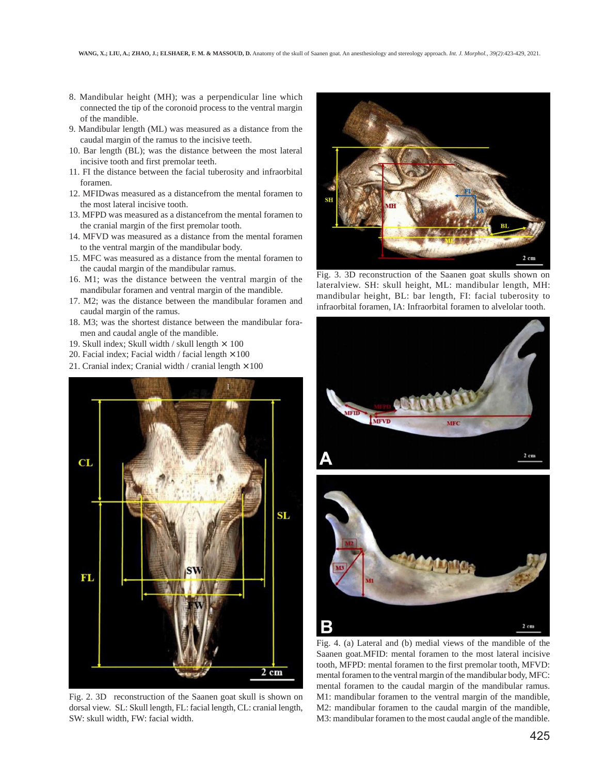- 8. Mandibular height (MH); was a perpendicular line which connected the tip of the coronoid process to the ventral margin of the mandible.
- 9. Mandibular length (ML) was measured as a distance from the caudal margin of the ramus to the incisive teeth.
- 10. Bar length (BL); was the distance between the most lateral incisive tooth and first premolar teeth.
- 11. FI the distance between the facial tuberosity and infraorbital foramen.
- 12. MFIDwas measured as a distancefrom the mental foramen to the most lateral incisive tooth.
- 13. MFPD was measured as a distancefrom the mental foramen to the cranial margin of the first premolar tooth.
- 14. MFVD was measured as a distance from the mental foramen to the ventral margin of the mandibular body.
- 15. MFC was measured as a distance from the mental foramen to the caudal margin of the mandibular ramus.
- 16. M1; was the distance between the ventral margin of the mandibular foramen and ventral margin of the mandible.
- 17. M2; was the distance between the mandibular foramen and caudal margin of the ramus.
- 18. M3; was the shortest distance between the mandibular foramen and caudal angle of the mandible.
- 19. Skull index; Skull width / skull length  $\times$  100
- 20. Facial index; Facial width / facial length  $\times$  100
- 21. Cranial index; Cranial width / cranial length  $\times$  100



Fig. 2. 3D reconstruction of the Saanen goat skull is shown on dorsal view. SL: Skull length, FL: facial length, CL: cranial length, SW: skull width, FW: facial width.



Fig. 3. 3D reconstruction of the Saanen goat skulls shown on lateralview. SH: skull height, ML: mandibular length, MH: mandibular height, BL: bar length, FI: facial tuberosity to infraorbital foramen, IA: Infraorbital foramen to alvelolar tooth.



Fig. 4. (a) Lateral and (b) medial views of the mandible of the Saanen goat.MFID: mental foramen to the most lateral incisive tooth, MFPD: mental foramen to the first premolar tooth, MFVD: mental foramen to the ventral margin of the mandibular body, MFC: mental foramen to the caudal margin of the mandibular ramus. M1: mandibular foramen to the ventral margin of the mandible, M2: mandibular foramen to the caudal margin of the mandible, M3: mandibular foramen to the most caudal angle of the mandible.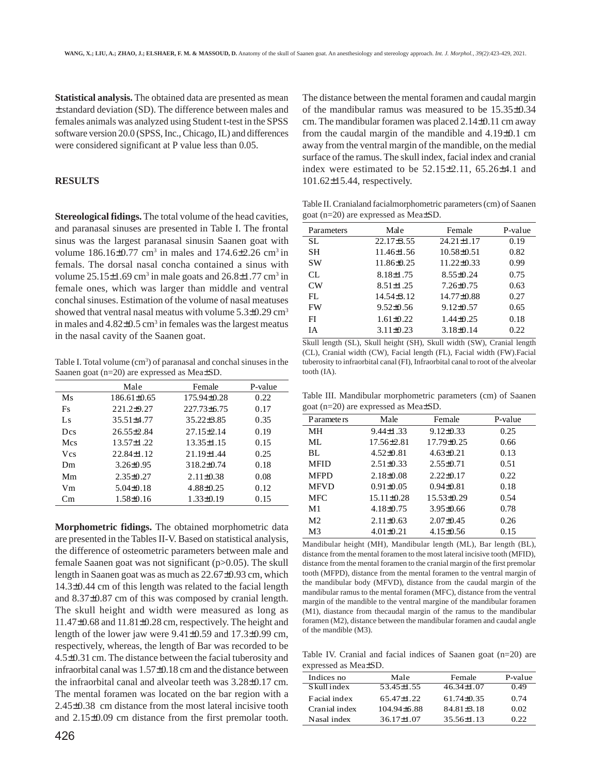**Statistical analysis.** The obtained data are presented as mean ± standard deviation (SD). The difference between males and females animals was analyzed using Student t-test in the SPSS software version 20.0 (SPSS, Inc., Chicago, IL) and differences were considered significant at P value less than 0.05.

## **RESULTS**

**Stereological fidings.** The total volume of the head cavities, and paranasal sinuses are presented in Table I. The frontal sinus was the largest paranasal sinusin Saanen goat with volume  $186.16 \pm 0.77$  cm<sup>3</sup> in males and  $174.6 \pm 2.26$  cm<sup>3</sup> in femals. The dorsal nasal concha contained a sinus with volume  $25.15\pm1.69$  cm<sup>3</sup> in male goats and  $26.8\pm1.77$  cm<sup>3</sup> in female ones, which was larger than middle and ventral conchal sinuses. Estimation of the volume of nasal meatuses showed that ventral nasal meatus with volume  $5.3\pm0.29$  cm<sup>3</sup> in males and  $4.82 \pm 0.5$  cm<sup>3</sup> in females was the largest meatus in the nasal cavity of the Saanen goat.

Table I. Total volume (cm<sup>3</sup>) of paranasal and conchal sinuses in the Saanen goat (n=20) are expressed as Mea±SD.

|                        | Male              | Female           | P-value |
|------------------------|-------------------|------------------|---------|
| Ms                     | $186.61 \pm 0.65$ | $175.94\pm0.28$  | 0.22    |
| Fs                     | $221.2+9.27$      | $227.73\pm 6.75$ | 0.17    |
| Ls                     | 35.51±4.77        | $35.22 \pm 3.85$ | 0.35    |
| Des                    | $26.55 \pm 2.84$  | $27.15 \pm 2.14$ | 0.19    |
| Mes                    | $13.57 \pm 1.22$  | $13.35 \pm 1.15$ | 0.15    |
| <b>V</b> <sub>cs</sub> | $22.84 \pm 1.12$  | $21.19 \pm 1.44$ | 0.25    |
| Dm                     | $3.26 \pm 0.95$   | $318.2 \pm 0.74$ | 0.18    |
| Mm                     | $2.35\pm0.27$     | $2.11\pm0.38$    | 0.08    |
| Vm                     | $5.04\pm0.18$     | $4.88\pm0.25$    | 0.12    |
| Cm                     | $1.58 \pm 0.16$   | $1.33 \pm 0.19$  | 0.15    |

**Morphometric fidings.** The obtained morphometric data are presented in the Tables II-V. Based on statistical analysis, the difference of osteometric parameters between male and female Saanen goat was not significant (p>0.05). The skull length in Saanen goat was as much as 22.67±0.93 cm, which 14.3±0.44 cm of this length was related to the facial length and 8.37±0.87 cm of this was composed by cranial length. The skull height and width were measured as long as 11.47±0.68 and 11.81±0.28 cm, respectively. The height and length of the lower jaw were 9.41±0.59 and 17.3±0.99 cm, respectively, whereas, the length of Bar was recorded to be 4.5±0.31 cm. The distance between the facial tuberosity and infraorbital canal was 1.57±0.18 cm and the distance between the infraorbital canal and alveolar teeth was 3.28±0.17 cm. The mental foramen was located on the bar region with a 2.45±0.38 cm distance from the most lateral incisive tooth and 2.15±0.09 cm distance from the first premolar tooth.

The distance between the mental foramen and caudal margin of the mandibular ramus was measured to be 15.35±0.34 cm. The mandibular foramen was placed 2.14±0.11 cm away from the caudal margin of the mandible and 4.19±0.1 cm away from the ventral margin of the mandible, on the medial surface of the ramus. The skull index, facial index and cranial index were estimated to be  $52.15\pm2.11$ ,  $65.26\pm4.1$  and 101.62±15.44, respectively.

Table II. Cranialand facialmorphometric parameters (cm) of Saanen goat (n=20) are expressed as Mea±SD.

| Parameters | Male            | Female           | P-value |
|------------|-----------------|------------------|---------|
| SL.        | $22.17\pm3.55$  | $24.21 \pm 1.17$ | 0.19    |
| <b>SH</b>  | 11.46±1.56      | $10.58 \pm 0.51$ | 0.82    |
| <b>SW</b>  | 11.86±0.25      | $11.22 \pm 0.33$ | 0.99    |
| CL.        | $8.18 \pm 1.75$ | $8.55 \pm 0.24$  | 0.75    |
| CW         | $8.51 \pm 1.25$ | $7.26 \pm 0.75$  | 0.63    |
| FL         | 14.54±3.12      | $14.77 \pm 0.88$ | 0.27    |
| <b>FW</b>  | $9.52\pm 0.56$  | $9.12\pm0.57$    | 0.65    |
| FI         | $1.61 \pm 0.22$ | $1.44\pm0.25$    | 0.18    |
| IΑ         | $3.11\pm0.23$   | $3.18\pm0.14$    | 0.22    |

Skull length (SL), Skull height (SH), Skull width (SW), Cranial length (CL), Cranial width (CW), Facial length (FL), Facial width (FW).Facial tuberosity to infraorbital canal (FI), Infraorbital canal to root of the alveolar tooth (IA).

Table III. Mandibular morphometric parameters (cm) of Saanen goat (n=20) are expressed as Mea±SD.

| P aramete rs   | Male             | Female          | P-value |
|----------------|------------------|-----------------|---------|
| MН             | $9.44 \pm 1.33$  | $9.12 \pm 0.33$ | 0.25    |
| ML             | $17.56 \pm 2.81$ | 17.79±0.25      | 0.66    |
| BL.            | $4.52\pm0.81$    | $4.63\pm0.21$   | 0.13    |
| <b>MFID</b>    | $2.51 \pm 0.33$  | $2.55\pm0.71$   | 0.51    |
| <b>MFPD</b>    | $2.18 \pm 0.08$  | $2.22 \pm 0.17$ | 0.22    |
| <b>MFVD</b>    | $0.91 \pm 0.05$  | $0.94\pm0.81$   | 0.18    |
| <b>MFC</b>     | $15.11 \pm 0.28$ | $15.53\pm0.29$  | 0.54    |
| M1             | $4.18\pm0.75$    | $3.95 \pm 0.66$ | 0.78    |
| M <sub>2</sub> | $2.11\pm0.63$    | $2.07\pm0.45$   | 0.26    |
| M <sub>3</sub> | $4.01 \pm 0.21$  | $4.15\pm0.56$   | 0.15    |

Mandibular height (MH), Mandibular length (ML), Bar length (BL), distance from the mental foramen to the most lateral incisive tooth (MFID), distance from the mental foramen to the cranial margin of the first premolar tooth (MFPD), distance from the mental foramen to the ventral margin of the mandibular body (MFVD), distance from the caudal margin of the mandibular ramus to the mental foramen (MFC), distance from the ventral margin of the mandible to the ventral margine of the mandibular foramen (M1), diastance from thecaudal margin of the ramus to the mandibular foramen (M2), distance between the mandibular foramen and caudal angle of the mandible (M3).

Table IV. Cranial and facial indices of Saanen goat (n=20) are expressed as Mea±SD.

| Indices no    | Male             | Female           | P-value |
|---------------|------------------|------------------|---------|
| Skull index   | 53.45 ± 1.55     | $46.34 \pm 1.07$ | 0.49    |
| Facial index  | $65.47\pm1.22$   | $61.74\pm0.35$   | 0.74    |
| Cranial index | $104.94\pm 6.88$ | $84.81\pm3.18$   | 0.02    |
| Nasal index   | $36.17 \pm 1.07$ | $35.56\pm1.13$   | 0.22    |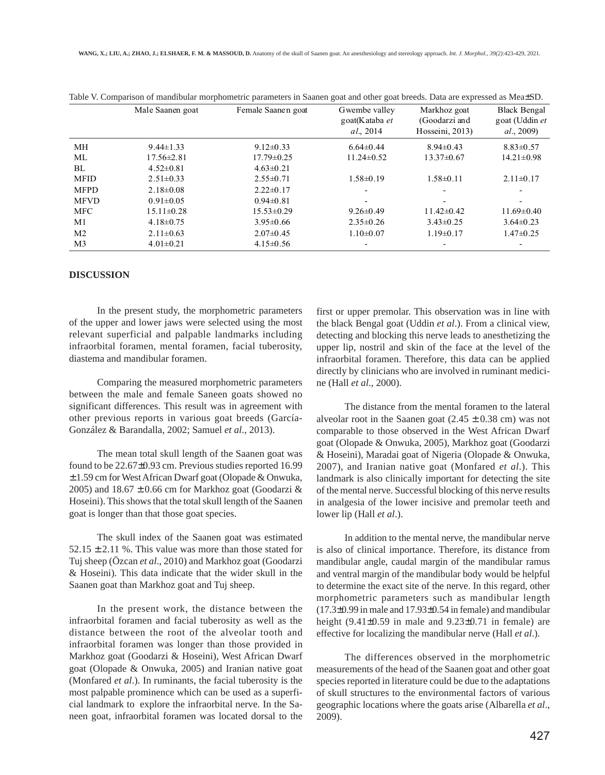|                | Male Saanen goat | Female Saanen goat | Gwembe valley<br>goat(Kataba et<br>al., 2014 | Markhoz goat<br>(Goodarzi and<br>Hosseini, 2013) | <b>Black Bengal</b><br>goat (Uddin et<br>al., 2009) |
|----------------|------------------|--------------------|----------------------------------------------|--------------------------------------------------|-----------------------------------------------------|
| МH             | $9.44 \pm 1.33$  | $9.12 \pm 0.33$    | $6.64\pm0.44$                                | $8.94\pm0.43$                                    | $8.83 \pm 0.57$                                     |
| ML             | $17.56 \pm 2.81$ | $17.79 \pm 0.25$   | $11.24 \pm 0.52$                             | 13.37±0.67                                       | $14.21 \pm 0.98$                                    |
| BL             | $4.52 \pm 0.81$  | $4.63 \pm 0.21$    |                                              |                                                  |                                                     |
| <b>MFID</b>    | $2.51 \pm 0.33$  | $2.55 \pm 0.71$    | $1.58 \pm 0.19$                              | $1.58 \pm 0.11$                                  | $2.11\pm0.17$                                       |
| <b>MFPD</b>    | $2.18 \pm 0.08$  | $2.22 \pm 0.17$    |                                              |                                                  |                                                     |
| <b>MFVD</b>    | $0.91 \pm 0.05$  | $0.94\pm0.81$      | -                                            | $\overline{\phantom{a}}$                         |                                                     |
| <b>MFC</b>     | $15.11 \pm 0.28$ | $15.53 \pm 0.29$   | $9.26 \pm 0.49$                              | $11.42\pm0.42$                                   | $11.69 \pm 0.40$                                    |
| M1             | $4.18 \pm 0.75$  | $3.95 \pm 0.66$    | $2.35 \pm 0.26$                              | $3.43\pm0.25$                                    | $3.64\pm0.23$                                       |
| M <sub>2</sub> | $2.11 \pm 0.63$  | $2.07\pm0.45$      | $1.10\pm0.07$                                | $1.19\pm0.17$                                    | $1.47\pm0.25$                                       |
| M <sub>3</sub> | $4.01 \pm 0.21$  | $4.15 \pm 0.56$    |                                              |                                                  |                                                     |

Table V. Comparison of mandibular morphometric parameters in Saanen goat and other goat breeds. Data are expressed as Mea±SD.

#### **DISCUSSION**

In the present study, the morphometric parameters of the upper and lower jaws were selected using the most relevant superficial and palpable landmarks including infraorbital foramen, mental foramen, facial tuberosity, diastema and mandibular foramen.

Comparing the measured morphometric parameters between the male and female Saneen goats showed no significant differences. This result was in agreement with other previous reports in various goat breeds (García-González & Barandalla, 2002; Samuel *et al*., 2013).

The mean total skull length of the Saanen goat was found to be 22.67±0.93 cm. Previous studies reported 16.99 ± 1.59 cm for West African Dwarf goat (Olopade & Onwuka, 2005) and  $18.67 \pm 0.66$  cm for Markhoz goat (Goodarzi & Hoseini). This shows that the total skull length of the Saanen goat is longer than that those goat species.

The skull index of the Saanen goat was estimated  $52.15 \pm 2.11$  %. This value was more than those stated for Tuj sheep (Özcan *et al*., 2010) and Markhoz goat (Goodarzi & Hoseini). This data indicate that the wider skull in the Saanen goat than Markhoz goat and Tuj sheep.

In the present work, the distance between the infraorbital foramen and facial tuberosity as well as the distance between the root of the alveolar tooth and infraorbital foramen was longer than those provided in Markhoz goat (Goodarzi & Hoseini), West African Dwarf goat (Olopade & Onwuka, 2005) and Iranian native goat (Monfared *et al*.). In ruminants, the facial tuberosity is the most palpable prominence which can be used as a superficial landmark to explore the infraorbital nerve. In the Saneen goat, infraorbital foramen was located dorsal to the first or upper premolar. This observation was in line with the black Bengal goat (Uddin *et al*.). From a clinical view, detecting and blocking this nerve leads to anesthetizing the upper lip, nostril and skin of the face at the level of the infraorbital foramen. Therefore, this data can be applied directly by clinicians who are involved in ruminant medicine (Hall *et al*., 2000).

The distance from the mental foramen to the lateral alveolar root in the Saanen goat  $(2.45 \pm 0.38 \text{ cm})$  was not comparable to those observed in the West African Dwarf goat (Olopade & Onwuka, 2005), Markhoz goat (Goodarzi & Hoseini), Maradai goat of Nigeria (Olopade & Onwuka, 2007), and Iranian native goat (Monfared *et al*.). This landmark is also clinically important for detecting the site of the mental nerve. Successful blocking of this nerve results in analgesia of the lower incisive and premolar teeth and lower lip (Hall *et al*.).

In addition to the mental nerve, the mandibular nerve is also of clinical importance. Therefore, its distance from mandibular angle, caudal margin of the mandibular ramus and ventral margin of the mandibular body would be helpful to determine the exact site of the nerve. In this regard, other morphometric parameters such as mandibular length (17.3±0.99 in male and 17.93±0.54 in female) and mandibular height  $(9.41\pm0.59)$  in male and  $(9.23\pm0.71)$  in female) are effective for localizing the mandibular nerve (Hall *et al*.).

The differences observed in the morphometric measurements of the head of the Saanen goat and other goat species reported in literature could be due to the adaptations of skull structures to the environmental factors of various geographic locations where the goats arise (Albarella *et al*., 2009).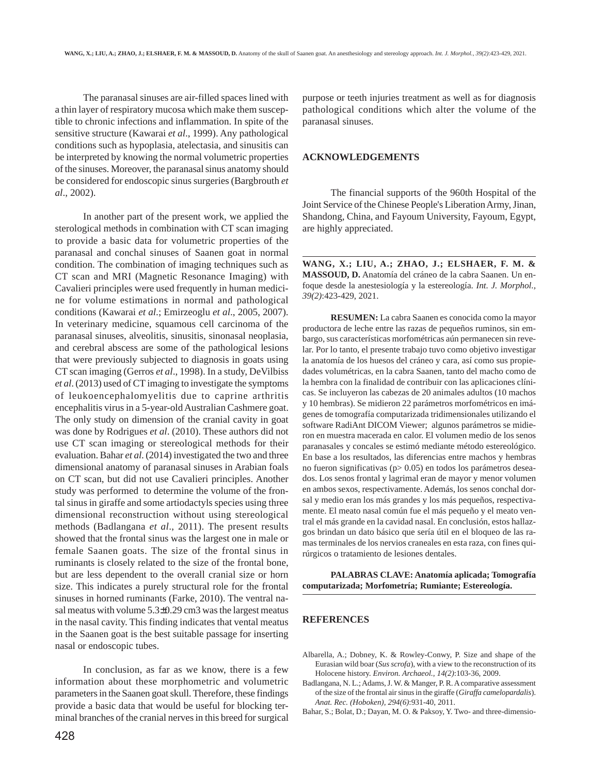The paranasal sinuses are air-filled spaces lined with a thin layer of respiratory mucosa which make them susceptible to chronic infections and inflammation. In spite of the sensitive structure (Kawarai *et al*., 1999). Any pathological conditions such as hypoplasia, atelectasia, and sinusitis can be interpreted by knowing the normal volumetric properties of the sinuses. Moreover, the paranasal sinus anatomy should be considered for endoscopic sinus surgeries (Bargbrouth *et al*., 2002).

In another part of the present work, we applied the sterological methods in combination with CT scan imaging to provide a basic data for volumetric properties of the paranasal and conchal sinuses of Saanen goat in normal condition. The combination of imaging techniques such as CT scan and MRI (Magnetic Resonance Imaging) with Cavalieri principles were used frequently in human medicine for volume estimations in normal and pathological conditions (Kawarai *et al*.; Emirzeoglu *et al*., 2005, 2007). In veterinary medicine, squamous cell carcinoma of the paranasal sinuses, alveolitis, sinusitis, sinonasal neoplasia, and cerebral abscess are some of the pathological lesions that were previously subjected to diagnosis in goats using CT scan imaging (Gerros *et al*., 1998). In a study, DeVilbiss *et al*. (2013) used of CT imaging to investigate the symptoms of leukoencephalomyelitis due to caprine arthritis encephalitis virus in a 5-year-old Australian Cashmere goat. The only study on dimension of the cranial cavity in goat was done by Rodrigues *et al*. (2010). These authors did not use CT scan imaging or stereological methods for their evaluation. Bahar *et al*. (2014) investigated the two and three dimensional anatomy of paranasal sinuses in Arabian foals on CT scan, but did not use Cavalieri principles. Another study was performed to determine the volume of the frontal sinus in giraffe and some artiodactyls species using three dimensional reconstruction without using stereological methods (Badlangana *et al*., 2011). The present results showed that the frontal sinus was the largest one in male or female Saanen goats. The size of the frontal sinus in ruminants is closely related to the size of the frontal bone, but are less dependent to the overall cranial size or horn size. This indicates a purely structural role for the frontal sinuses in horned ruminants (Farke, 2010). The ventral nasal meatus with volume 5.3±0.29 cm3 was the largest meatus in the nasal cavity. This finding indicates that vental meatus in the Saanen goat is the best suitable passage for inserting nasal or endoscopic tubes.

In conclusion, as far as we know, there is a few information about these morphometric and volumetric parameters in the Saanen goat skull. Therefore, these findings provide a basic data that would be useful for blocking terminal branches of the cranial nerves in this breed for surgical purpose or teeth injuries treatment as well as for diagnosis pathological conditions which alter the volume of the paranasal sinuses.

## **ACKNOWLEDGEMENTS**

The financial supports of the 960th Hospital of the Joint Service of the Chinese People's Liberation Army, Jinan, Shandong, China, and Fayoum University, Fayoum, Egypt, are highly appreciated.

**WANG, X.; LIU, A.; ZHAO, J.; ELSHAER, F. M. & MASSOUD, D.** Anatomía del cráneo de la cabra Saanen. Un enfoque desde la anestesiología y la estereología. *Int. J. Morphol., 39(2)*:423-429, 2021.

**RESUMEN:** La cabra Saanen es conocida como la mayor productora de leche entre las razas de pequeños ruminos, sin embargo, sus características morfométricas aún permanecen sin revelar. Por lo tanto, el presente trabajo tuvo como objetivo investigar la anatomía de los huesos del cráneo y cara, así como sus propiedades volumétricas, en la cabra Saanen, tanto del macho como de la hembra con la finalidad de contribuir con las aplicaciones clínicas. Se incluyeron las cabezas de 20 animales adultos (10 machos y 10 hembras). Se midieron 22 parámetros morfométricos en imágenes de tomografía computarizada tridimensionales utilizando el software RadiAnt DICOM Viewer; algunos parámetros se midieron en muestra macerada en calor. El volumen medio de los senos paranasales y concales se estimó mediante método estereológico. En base a los resultados, las diferencias entre machos y hembras no fueron significativas (p> 0.05) en todos los parámetros deseados. Los senos frontal y lagrimal eran de mayor y menor volumen en ambos sexos, respectivamente. Además, los senos conchal dorsal y medio eran los más grandes y los más pequeños, respectivamente. El meato nasal común fue el más pequeño y el meato ventral el más grande en la cavidad nasal. En conclusión, estos hallazgos brindan un dato básico que sería útil en el bloqueo de las ramas terminales de los nervios craneales en esta raza, con fines quirúrgicos o tratamiento de lesiones dentales.

**PALABRAS CLAVE: Anatomía aplicada; Tomografía computarizada; Morfometría; Rumiante; Estereología.**

#### **REFERENCES**

- Albarella, A.; Dobney, K. & Rowley-Conwy, P. Size and shape of the Eurasian wild boar (*Sus scrofa*), with a view to the reconstruction of its Holocene history. *Environ. Archaeol., 14(2)*:103-36, 2009.
- Badlangana, N. L.; Adams, J. W. & Manger, P. R. A comparative assessment of the size of the frontal air sinus in the giraffe (*Giraffa camelopardalis*). *Anat. Rec. (Hoboken), 294(6)*:931-40, 2011.
- Bahar, S.; Bolat, D.; Dayan, M. O. & Paksoy, Y. Two- and three-dimensio-